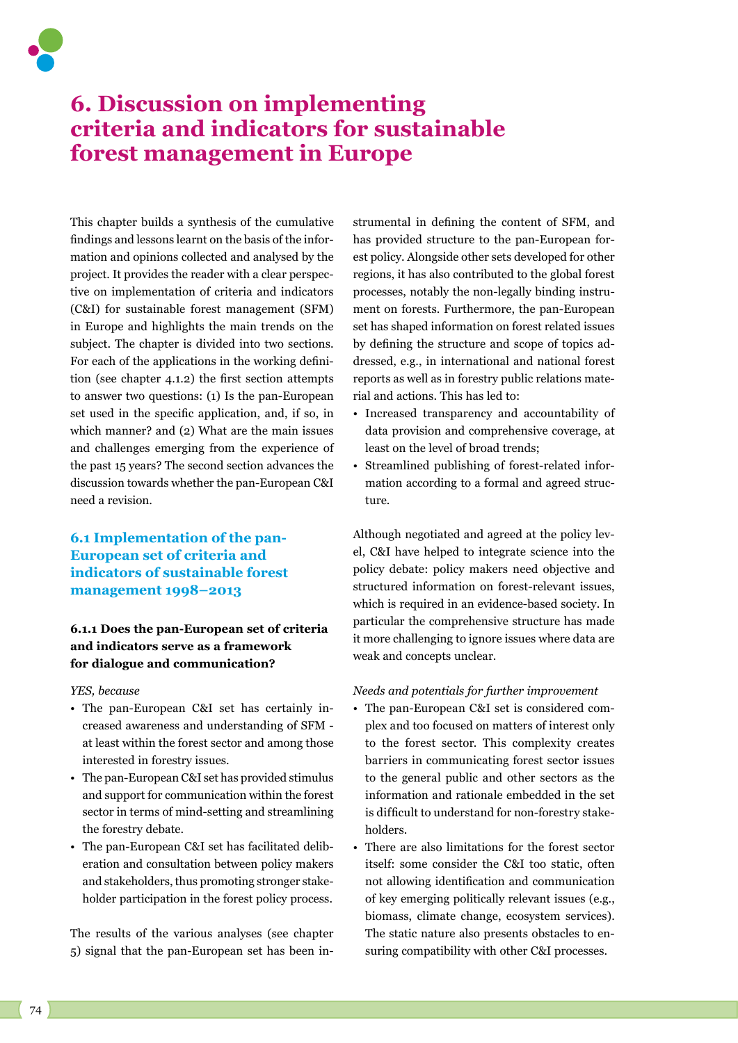

# **6. Discussion on implementing criteria and indicators for sustainable forest management in Europe**

This chapter builds a synthesis of the cumulative findings and lessons learnt on the basis of the information and opinions collected and analysed by the project. It provides the reader with a clear perspective on implementation of criteria and indicators (C&I) for sustainable forest management (SFM) in Europe and highlights the main trends on the subject. The chapter is divided into two sections. For each of the applications in the working definition (see chapter 4.1.2) the first section attempts to answer two questions: (1) Is the pan-European set used in the specific application, and, if so, in which manner? and (2) What are the main issues and challenges emerging from the experience of the past 15 years? The second section advances the discussion towards whether the pan-European C&I need a revision.

# **6.1 Implementation of the pan-European set of criteria and indicators of sustainable forest management 1998–2013**

### **6.1.1 Does the pan-European set of criteria and indicators serve as a framework for dialogue and communication?**

#### *YES, because*

- The pan-European C&I set has certainly increased awareness and understanding of SFM at least within the forest sector and among those interested in forestry issues.
- The pan-European C&I set has provided stimulus and support for communication within the forest sector in terms of mind-setting and streamlining the forestry debate.
- The pan-European C&I set has facilitated deliberation and consultation between policy makers and stakeholders, thus promoting stronger stakeholder participation in the forest policy process.

The results of the various analyses (see chapter 5) signal that the pan-European set has been in-

strumental in defining the content of SFM, and has provided structure to the pan-European forest policy. Alongside other sets developed for other regions, it has also contributed to the global forest processes, notably the non-legally binding instrument on forests. Furthermore, the pan-European set has shaped information on forest related issues by defining the structure and scope of topics addressed, e.g., in international and national forest reports as well as in forestry public relations material and actions. This has led to:

- Increased transparency and accountability of data provision and comprehensive coverage, at least on the level of broad trends;
- Streamlined publishing of forest-related information according to a formal and agreed structure.

Although negotiated and agreed at the policy level, C&I have helped to integrate science into the policy debate: policy makers need objective and structured information on forest-relevant issues, which is required in an evidence-based society. In particular the comprehensive structure has made it more challenging to ignore issues where data are weak and concepts unclear.

#### *Needs and potentials for further improvement*

- The pan-European C&I set is considered complex and too focused on matters of interest only to the forest sector. This complexity creates barriers in communicating forest sector issues to the general public and other sectors as the information and rationale embedded in the set is difficult to understand for non-forestry stakeholders.
- There are also limitations for the forest sector itself: some consider the C&I too static, often not allowing identification and communication of key emerging politically relevant issues (e.g., biomass, climate change, ecosystem services). The static nature also presents obstacles to ensuring compatibility with other C&I processes.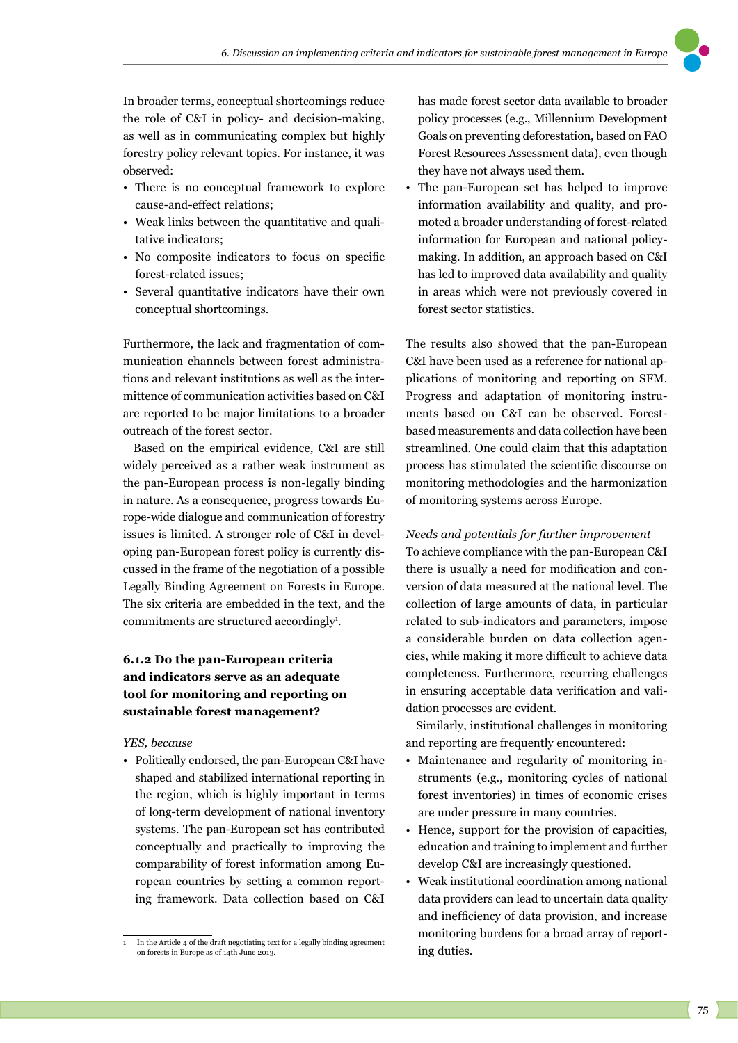In broader terms, conceptual shortcomings reduce the role of C&I in policy- and decision-making, as well as in communicating complex but highly forestry policy relevant topics. For instance, it was observed:

- There is no conceptual framework to explore cause-and-effect relations;
- Weak links between the quantitative and qualitative indicators;
- No composite indicators to focus on specific forest-related issues;
- Several quantitative indicators have their own conceptual shortcomings.

Furthermore, the lack and fragmentation of communication channels between forest administrations and relevant institutions as well as the intermittence of communication activities based on C&I are reported to be major limitations to a broader outreach of the forest sector.

Based on the empirical evidence, C&I are still widely perceived as a rather weak instrument as the pan-European process is non-legally binding in nature. As a consequence, progress towards Europe-wide dialogue and communication of forestry issues is limited. A stronger role of C&I in developing pan-European forest policy is currently discussed in the frame of the negotiation of a possible Legally Binding Agreement on Forests in Europe. The six criteria are embedded in the text, and the commitments are structured accordingly<sup>1</sup>.

## **6.1.2 Do the pan-European criteria and indicators serve as an adequate tool for monitoring and reporting on sustainable forest management?**

*YES, because*

• Politically endorsed, the pan-European C&I have shaped and stabilized international reporting in the region, which is highly important in terms of long-term development of national inventory systems. The pan-European set has contributed conceptually and practically to improving the comparability of forest information among European countries by setting a common reporting framework. Data collection based on C&I

has made forest sector data available to broader policy processes (e.g., Millennium Development Goals on preventing deforestation, based on FAO Forest Resources Assessment data), even though they have not always used them.

• The pan-European set has helped to improve information availability and quality, and promoted a broader understanding of forest-related information for European and national policymaking. In addition, an approach based on C&I has led to improved data availability and quality in areas which were not previously covered in forest sector statistics.

The results also showed that the pan-European C&I have been used as a reference for national applications of monitoring and reporting on SFM. Progress and adaptation of monitoring instruments based on C&I can be observed. Forestbased measurements and data collection have been streamlined. One could claim that this adaptation process has stimulated the scientific discourse on monitoring methodologies and the harmonization of monitoring systems across Europe.

#### *Needs and potentials for further improvement*

To achieve compliance with the pan-European C&I there is usually a need for modification and conversion of data measured at the national level. The collection of large amounts of data, in particular related to sub-indicators and parameters, impose a considerable burden on data collection agencies, while making it more difficult to achieve data completeness. Furthermore, recurring challenges in ensuring acceptable data verification and validation processes are evident.

Similarly, institutional challenges in monitoring and reporting are frequently encountered:

- Maintenance and regularity of monitoring instruments (e.g., monitoring cycles of national forest inventories) in times of economic crises are under pressure in many countries.
- Hence, support for the provision of capacities, education and training to implement and further develop C&I are increasingly questioned.
- Weak institutional coordination among national data providers can lead to uncertain data quality and inefficiency of data provision, and increase monitoring burdens for a broad array of reporting duties.

<sup>1</sup> In the Article 4 of the draft negotiating text for a legally binding agreement on forests in Europe as of 14th June 2013.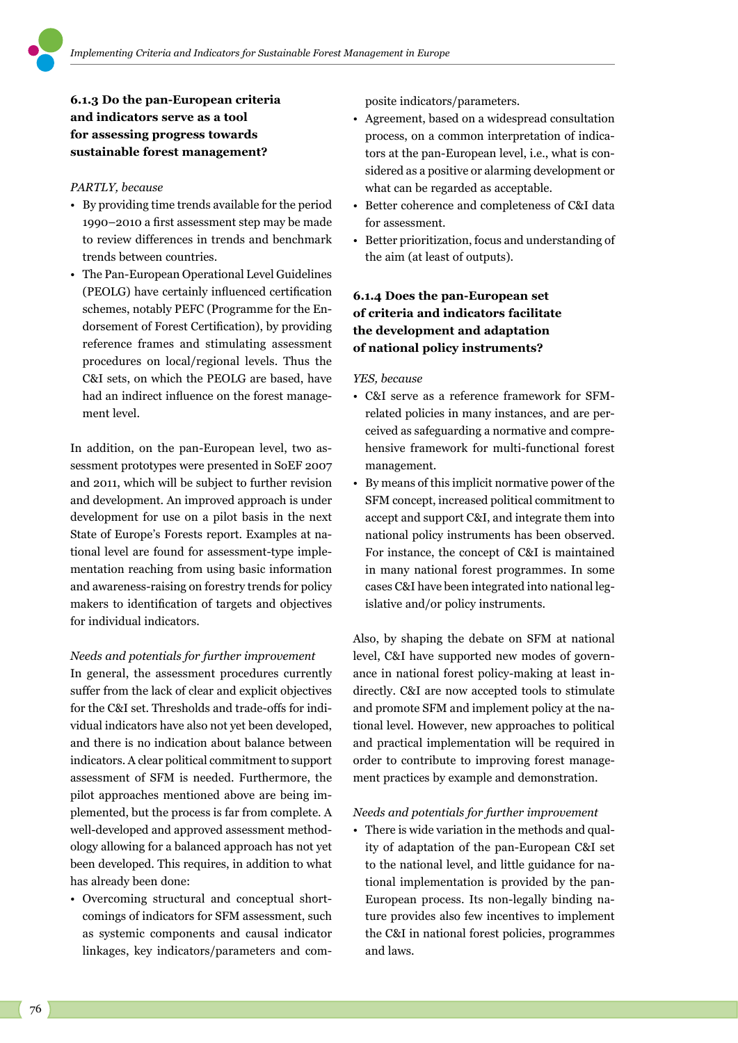**6.1.3 Do the pan-European criteria and indicators serve as a tool for assessing progress towards sustainable forest management?**

### *PARTLY, because*

- By providing time trends available for the period 1990–2010 a first assessment step may be made to review differences in trends and benchmark trends between countries.
- The Pan-European Operational Level Guidelines (PEOLG) have certainly influenced certification schemes, notably PEFC (Programme for the Endorsement of Forest Certification), by providing reference frames and stimulating assessment procedures on local/regional levels. Thus the C&I sets, on which the PEOLG are based, have had an indirect influence on the forest management level.

In addition, on the pan-European level, two assessment prototypes were presented in SoEF 2007 and 2011, which will be subject to further revision and development. An improved approach is under development for use on a pilot basis in the next State of Europe's Forests report. Examples at national level are found for assessment-type implementation reaching from using basic information and awareness-raising on forestry trends for policy makers to identification of targets and objectives for individual indicators.

### *Needs and potentials for further improvement*

In general, the assessment procedures currently suffer from the lack of clear and explicit objectives for the C&I set. Thresholds and trade-offs for individual indicators have also not yet been developed, and there is no indication about balance between indicators. A clear political commitment to support assessment of SFM is needed. Furthermore, the pilot approaches mentioned above are being implemented, but the process is far from complete. A well-developed and approved assessment methodology allowing for a balanced approach has not yet been developed. This requires, in addition to what has already been done:

• Overcoming structural and conceptual shortcomings of indicators for SFM assessment, such as systemic components and causal indicator linkages, key indicators/parameters and composite indicators/parameters.

- Agreement, based on a widespread consultation process, on a common interpretation of indicators at the pan-European level, i.e., what is considered as a positive or alarming development or what can be regarded as acceptable.
- Better coherence and completeness of C&I data for assessment.
- Better prioritization, focus and understanding of the aim (at least of outputs).

## **6.1.4 Does the pan-European set of criteria and indicators facilitate the development and adaptation of national policy instruments?**

*YES, because*

- C&I serve as a reference framework for SFMrelated policies in many instances, and are perceived as safeguarding a normative and comprehensive framework for multi-functional forest management.
- By means of this implicit normative power of the SFM concept, increased political commitment to accept and support C&I, and integrate them into national policy instruments has been observed. For instance, the concept of C&I is maintained in many national forest programmes. In some cases C&I have been integrated into national legislative and/or policy instruments.

Also, by shaping the debate on SFM at national level, C&I have supported new modes of governance in national forest policy-making at least indirectly. C&I are now accepted tools to stimulate and promote SFM and implement policy at the national level. However, new approaches to political and practical implementation will be required in order to contribute to improving forest management practices by example and demonstration.

#### *Needs and potentials for further improvement*

• There is wide variation in the methods and quality of adaptation of the pan-European C&I set to the national level, and little guidance for national implementation is provided by the pan-European process. Its non-legally binding nature provides also few incentives to implement the C&I in national forest policies, programmes and laws.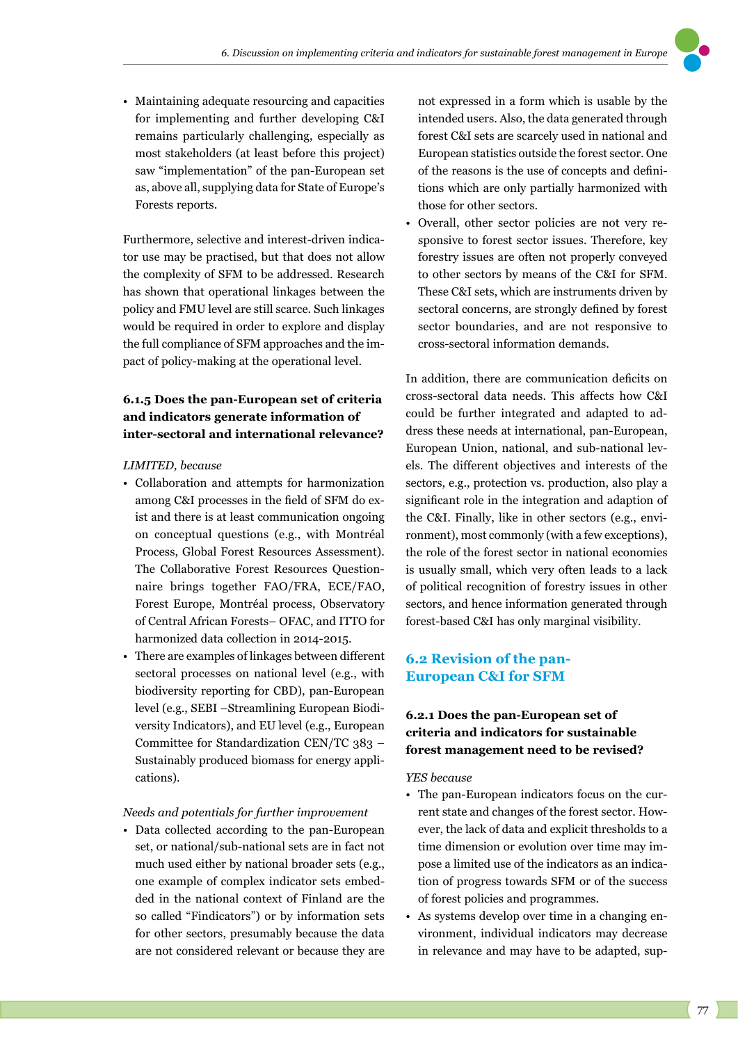• Maintaining adequate resourcing and capacities for implementing and further developing C&I remains particularly challenging, especially as most stakeholders (at least before this project) saw "implementation" of the pan-European set as, above all, supplying data for State of Europe's Forests reports.

Furthermore, selective and interest-driven indicator use may be practised, but that does not allow the complexity of SFM to be addressed. Research has shown that operational linkages between the policy and FMU level are still scarce. Such linkages would be required in order to explore and display the full compliance of SFM approaches and the impact of policy-making at the operational level.

## **6.1.5 Does the pan-European set of criteria and indicators generate information of inter-sectoral and international relevance?**

#### *LIMITED, because*

- Collaboration and attempts for harmonization among C&I processes in the field of SFM do exist and there is at least communication ongoing on conceptual questions (e.g., with Montréal Process, Global Forest Resources Assessment). The Collaborative Forest Resources Questionnaire brings together FAO/FRA, ECE/FAO, Forest Europe, Montréal process, Observatory of Central African Forests– OFAC, and ITTO for harmonized data collection in 2014-2015.
- There are examples of linkages between different sectoral processes on national level (e.g., with biodiversity reporting for CBD), pan-European level (e.g., SEBI –Streamlining European Biodiversity Indicators), and EU level (e.g., European Committee for Standardization CEN/TC 383 – Sustainably produced biomass for energy applications).

#### *Needs and potentials for further improvement*

• Data collected according to the pan-European set, or national/sub-national sets are in fact not much used either by national broader sets (e.g., one example of complex indicator sets embedded in the national context of Finland are the so called "Findicators") or by information sets for other sectors, presumably because the data are not considered relevant or because they are not expressed in a form which is usable by the intended users. Also, the data generated through forest C&I sets are scarcely used in national and European statistics outside the forest sector. One of the reasons is the use of concepts and definitions which are only partially harmonized with those for other sectors.

• Overall, other sector policies are not very responsive to forest sector issues. Therefore, key forestry issues are often not properly conveyed to other sectors by means of the C&I for SFM. These C&I sets, which are instruments driven by sectoral concerns, are strongly defined by forest sector boundaries, and are not responsive to cross-sectoral information demands.

In addition, there are communication deficits on cross-sectoral data needs. This affects how C&I could be further integrated and adapted to address these needs at international, pan-European, European Union, national, and sub-national levels. The different objectives and interests of the sectors, e.g., protection vs. production, also play a significant role in the integration and adaption of the C&I. Finally, like in other sectors (e.g., environment), most commonly (with a few exceptions), the role of the forest sector in national economies is usually small, which very often leads to a lack of political recognition of forestry issues in other sectors, and hence information generated through forest-based C&I has only marginal visibility.

### **6.2 Revision of the pan-European C&I for SFM**

### **6.2.1 Does the pan-European set of criteria and indicators for sustainable forest management need to be revised?**

#### *YES because*

- The pan-European indicators focus on the current state and changes of the forest sector. However, the lack of data and explicit thresholds to a time dimension or evolution over time may impose a limited use of the indicators as an indication of progress towards SFM or of the success of forest policies and programmes.
- As systems develop over time in a changing environment, individual indicators may decrease in relevance and may have to be adapted, sup-